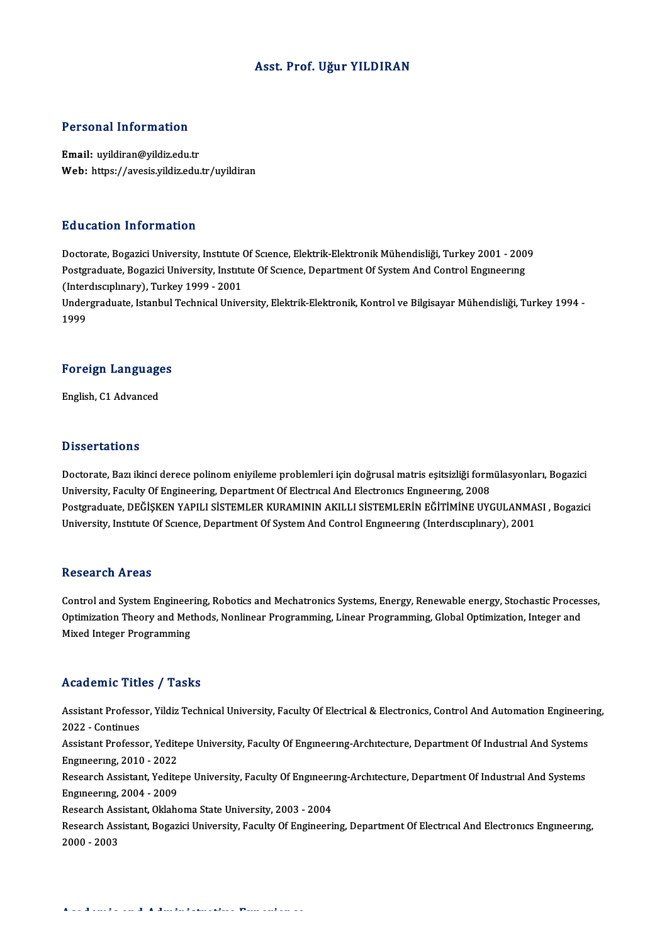## Asst. Prof. Uğur YILDIRAN

## Personal Information

Email: uyildiran@yildiz.edu.tr Web: https://avesis.yildiz.edu.tr/uyildiran

## Education Information

Education Information<br>Doctorate, Bogazici University, Institute Of Science, Elektrik-Elektronik Mühendisliği, Turkey 2001 - 2009<br>Bostanaduata, Bogazici University, Institute Of Science, Department Of System And Control Eng Pu u outror. Thror mucror<br>Doctorate, Bogazici University, Institute Of Science, Elektrik-Elektronik Mühendisliği, Turkey 2001 - 200<br>Chtordisanlinari), Turkey 1999–2001<br>Chtordisanlinari), Turkey 1999–2001 Doctorate, Bogazici University, Institute<br>Postgraduate, Bogazici University, Institu<br>(Interdisciplinary), Turkey 1999 - 2001<br>Undergraduate Jetanbul Technical Unive Postgraduate, Bogazici University, Institute Of Science, Department Of System And Control Engineering<br>(Interdisciplinary), Turkey 1999 - 2001<br>Undergraduate, Istanbul Technical University, Elektrik-Elektronik, Kontrol ve Bi

(Inter<br>Under<br>1999

# 1<sup>999</sup><br>Foreign Languages F<mark>oreign Languag</mark>e<br>English, C1 Advanced

English, C1 Advanced<br>Dissertations

Doctorate, Bazı ikinci derece polinom eniyileme problemleri için doğrusal matris eşitsizliği formülasyonları, Bogazici University, Faculty Of Engineering, Department Of Electrical And Electronics Engineering, 2008 Doctorate, Bazı ikinci derece polinom eniyileme problemleri için doğrusal matris eşitsizliği formülasyonları, Bogazici<br>University, Faculty Of Engineering, Department Of Electrical And Electronics Engineering, 2008<br>Postgrad University, Faculty Of Engineering, Department Of Electrıcal And Electronics Engineering, 2008<br>Postgraduate, DEĞİŞKEN YAPILI SİSTEMLER KURAMININ AKILLI SİSTEMLERİN EĞİTİMİNE UYGULANMA:<br>University, Institute Of Science, Dep University, Institute Of Science, Department Of System And Control Engineering (Interdisciplinary), 2001<br>Research Areas

Research Areas<br>Control and System Engineering, Robotics and Mechatronics Systems, Energy, Renewable energy, Stochastic Processes,<br>Optimization Theory and Methods, Noplineer Programming, Linear Programming, Clobel Optimizat resear en Tri eas<br>Control and System Engineering, Robotics and Mechatronics Systems, Energy, Renewable energy, Stochastic Proces<br>Optimization Theory and Methods, Nonlinear Programming, Linear Programming, Global Optimizati Control and System Engineer<br>Optimization Theory and Met<br>Mixed Integer Programming Mixed Integer Programming<br>Academic Titles / Tasks

Academic Titles / Tasks<br>Assistant Professor, Yildiz Technical University, Faculty Of Electrical & Electronics, Control And Automation Engineering,<br>2022 - Continues Assistant Professo<br>2022 - Continues<br>Assistant Professo Assistant Professor, Yildiz Technical University, Faculty Of Electrical & Electronics, Control And Automation Engineeri<br>2022 - Continues<br>Assistant Professor, Yeditepe University, Faculty Of Engineering-Architecture, Depart 2022 - Continues<br>Assistant Professor, Yeditepe University, Faculty Of Engıneerıng-Architecture, Department Of Industrial And Systems<br>Engineering, 2010 - 2022 Assistant Professor, Yeditepe University, Faculty Of Engineering-Architecture, Department Of Industrial And Systems<br>Engineering, 2010 - 2022<br>Research Assistant, Yeditepe University, Faculty Of Engineering-Architecture, Dep Engmeering, 2010 - 2022<br>Research Assistant, Yedite<br>Engineering, 2004 - 2009<br>Besearch Assistant, Oklaha Research Assistant, Yeditepe University, Faculty Of Engineer<br>Engineering, 2004 - 2009<br>Research Assistant, Oklahoma State University, 2003 - 2004<br>Research Assistant, Regarisi University, Faculty Of Engineeri Engineering, 2004 - 2009<br>Research Assistant, Oklahoma State University, 2003 - 2004<br>Research Assistant, Bogazici University, Faculty Of Engineering, Department Of Electrical And Electronics Engineering, Research Ass<br>Research Ass<br>2000 - 2003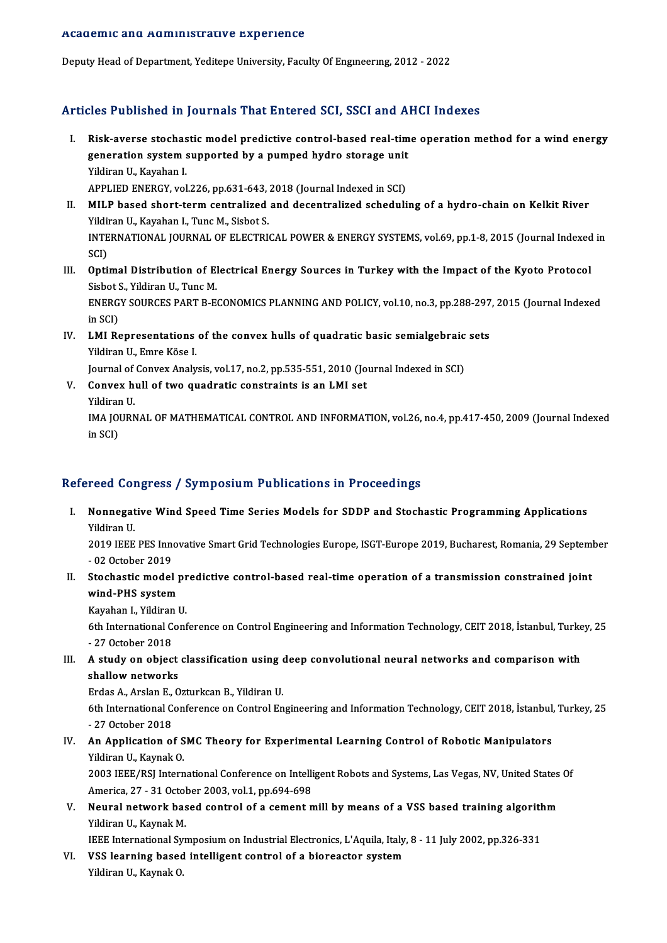### Academic and Administrative Experience

Deputy Head of Department, Yeditepe University, Faculty Of Engineering, 2012 - 2022

## Articles Published in Journals That Entered SCI, SSCI and AHCI Indexes

- The Published in Journals That Entered SCI, SSCI and AHCI Indexes<br>I. Risk-averse stochastic model predictive control-based real-time operation method for a wind energy<br>concustion sustam sunnerted by a numped bydge stances eres I donored in Journals That affected bor, boor and Ir.<br>Risk-averse stochastic model predictive control-based real-tim<br>generation system supported by a pumped hydro storage unit Risk-averse stochas<br>generation system<br>Yildiran U., Kayahan I.<br>APPLED ENEPCY vol generation system supported by a pumped hydro storage unit<br>Yildiran U., Kayahan I.<br>APPLIED ENERGY, vol.226, pp.631-643, 2018 (Journal Indexed in SCI)
- II. MILP based short-term centralized and decentralized scheduling of a hydro-chain on Kelkit River APPLIED ENERGY, vol.226, pp.631-643,<br>MILP based short-term centralized<br>Yildiran U., Kayahan I., Tunc M., Sisbot S.<br>INTERNATIONAL JOURNAL OF ELECTRI INTERNATIONAL JOURNAL OF ELECTRICAL POWER & ENERGY SYSTEMS, vol.69, pp.1-8, 2015 (Journal Indexed in<br>SCI) Yildii<br>INTE<br>SCI)<br>Onti INTERNATIONAL JOURNAL OF ELECTRICAL POWER & ENERGY SYSTEMS, vol.69, pp.1-8, 2015 (Journal Indexed<br>SCI)<br>III. Optimal Distribution of Electrical Energy Sources in Turkey with the Impact of the Kyoto Protocol<br>Sishet S. Vildin
- SCI)<br>**Optimal Distribution of El**<br>Sisbot S., Yildiran U., Tunc M.<br>ENERCY SOURCES RART R.E. Optimal Distribution of Electrical Energy Sources in Turkey with the Impact of the Kyoto Protocol<br>Sisbot S., Yildiran U., Tunc M.<br>ENERGY SOURCES PART B-ECONOMICS PLANNING AND POLICY, vol.10, no.3, pp.288-297, 2015 (Journal Sisbot S<br>ENERG<br>in SCI)<br>LML B4
- ENERGY SOURCES PART B-ECONOMICS PLANNING AND POLICY, vol.10, no.3, pp.288-297<br>in SCI)<br>IV. LMI Representations of the convex hulls of quadratic basic semialgebraic sets<br>Vidison II, Emre *V*889 I. in SCI)<br>IV. LMI Representations of the convex hulls of quadratic basic semialgebraic sets<br>Yildiran U., Emre Köse I. Yildiran U., Emre Köse I.<br>Journal of Convex Analysis, vol.17, no.2, pp.535-551, 2010 (Journal of Convex hull of two quadratic constraints is an LMI set<br>Vildinan II

Journal of Convex Analysis, vol.17, no.2, pp.535-551, 2010 (Journal Indexed in SCI)

- Journal of<br>Convex h<br>Yildiran U.<br>IMA JOUPN
	-

Yildiran U.<br>IMA JOURNAL OF MATHEMATICAL CONTROL AND INFORMATION, vol.26, no.4, pp.417-450, 2009 (Journal Indexed in SCI)

## Refereed Congress / Symposium Publications in Proceedings

efereed Congress / Symposium Publications in Proceedings<br>I. Nonnegative Wind Speed Time Series Models for SDDP and Stochastic Programming Applications<br>- <sup>Vildison U</sup> Nonnegat<br>Yildiran U.<br>2019 IEEE Nonnegative Wind Speed Time Series Models for SDDP and Stochastic Programming Applications<br>2019 IEEE PES Innovative Smart Grid Technologies Europe, ISGT-Europe 2019, Bucharest, Romania, 29 September<br>02 October 2019

Yildiran U.<br>2019 IEEE PES Inne<br>- 02 October 2019<br>Stechastis medal 2019 IEEE PES Innovative Smart Grid Technologies Europe, ISGT-Europe 2019, Bucharest, Romania, 29 Septem<br>- 02 October 2019<br>II. Stochastic model predictive control-based real-time operation of a transmission constrained joi

- 02 October 2019<br>Stochastic model<br>wind-PHS system<br>Kavaban I, Vildinan I Stochastic model pr<br>wind-PHS system<br>Kayahan I., Yildiran U.<br><sup>6th</sup> International Conf

wind-PHS system<br>Kayahan I., Yildiran U.<br>6th International Conference on Control Engineering and Information Technology, CEIT 2018, İstanbul, Turkey, 25<br>27 Ostahar 2018 Kayahan I., Yildiran<br>6th International C<br>- 27 October 2018<br>A study on object 6th International Conference on Control Engineering and Information Technology, CEIT 2018, İstanbul, Turke<br>- 27 October 2018<br>III. A study on object classification using deep convolutional neural networks and comparison wit

- 27 October 2018<br>III. A study on object classification using deep convolutional neural networks and comparison with<br>shallow networks A study on object classification using of<br>Shallow networks<br>Erdas A., Arslan E., Ozturkcan B., Yildiran U.<br>Eth International Conference on Control En

6th International Conference on Control Engineering and Information Technology, CEIT 2018, İstanbul, Turkey, 25<br>- 27 October 2018 Erdas A., Arslan E.,<br>6th International C<br>- 27 October 2018<br>An Annlisation Ci

## IV. An Application of SMC Theory for Experimental Learning Control of Robotic Manipulators Yildiran U., Kaynak O. An Application of SMC Theory for Experimental Learning Control of Robotic Manipulators<br>Yildiran U., Kaynak O.<br>2003 IEEE/RSJ International Conference on Intelligent Robots and Systems, Las Vegas, NV, United States Of<br>Americ

Yildiran U., Kaynak O.<br>2003 IEEE/RSJ International Conference on Intelli<br>America, 27 - 31 October 2003, vol.1, pp.694-698<br>Noural network based sentrel of a sement n 2003 IEEE/RSJ International Conference on Intelligent Robots and Systems, Las Vegas, NV, United States<br>America, 27 - 31 October 2003, vol.1, pp.694-698<br>V. Neural network based control of a cement mill by means of a VSS bas

America, 27 - 31 October 2003, vol.1, pp.694-698<br>Neural network based control of a cement r<br>Yildiran U., Kaynak M. Neural network based control of a cement mill by means of a VSS based training algorith<br>IEEE International Symposium on Industrial Electronics, L'Aquila, Italy, 8 - 11 July 2002, pp.326-331<br>VSS loguning based intelligent s

IEEE International Symposium on Industrial Electronics, L'Aquila, Italy, 8 - 11 July 2002, pp.326-331

VI. VSS learning based intelligent control of a bioreactor system<br>Yildiran U., Kaynak O.